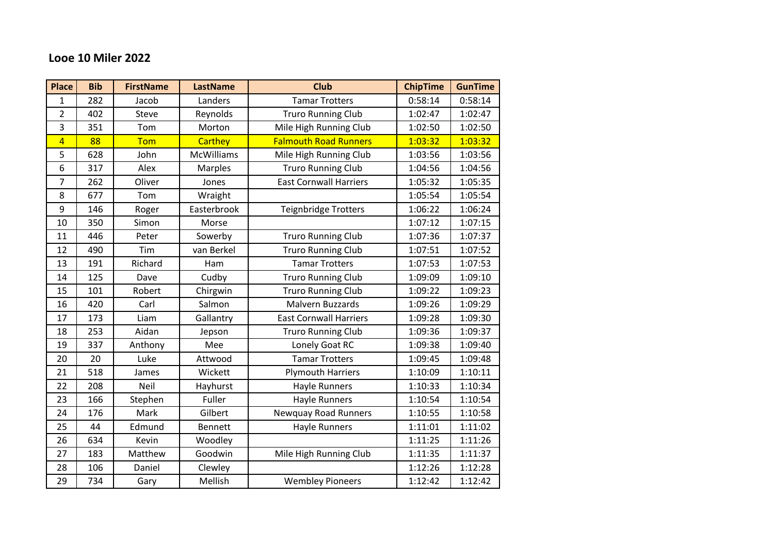## **Looe 10 Miler 2022**

| <b>Place</b>   | <b>Bib</b> | <b>FirstName</b> | <b>LastName</b>   | Club                          | <b>ChipTime</b> | <b>GunTime</b> |
|----------------|------------|------------------|-------------------|-------------------------------|-----------------|----------------|
| $\mathbf 1$    | 282        | Jacob            | Landers           | <b>Tamar Trotters</b>         | 0:58:14         | 0:58:14        |
| $\overline{2}$ | 402        | Steve            | Reynolds          | <b>Truro Running Club</b>     | 1:02:47         | 1:02:47        |
| 3              | 351        | Tom              | Morton            | Mile High Running Club        | 1:02:50         | 1:02:50        |
| $\overline{4}$ | 88         | Tom              | <b>Carthey</b>    | <b>Falmouth Road Runners</b>  | 1:03:32         | 1:03:32        |
| 5              | 628        | John             | <b>McWilliams</b> | Mile High Running Club        | 1:03:56         | 1:03:56        |
| 6              | 317        | Alex             | Marples           | <b>Truro Running Club</b>     | 1:04:56         | 1:04:56        |
| 7              | 262        | Oliver           | Jones             | <b>East Cornwall Harriers</b> | 1:05:32         | 1:05:35        |
| 8              | 677        | Tom              | Wraight           |                               | 1:05:54         | 1:05:54        |
| 9              | 146        | Roger            | Easterbrook       | <b>Teignbridge Trotters</b>   | 1:06:22         | 1:06:24        |
| 10             | 350        | Simon            | Morse             |                               | 1:07:12         | 1:07:15        |
| 11             | 446        | Peter            | Sowerby           | <b>Truro Running Club</b>     | 1:07:36         | 1:07:37        |
| 12             | 490        | Tim              | van Berkel        | <b>Truro Running Club</b>     | 1:07:51         | 1:07:52        |
| 13             | 191        | Richard          | Ham               | <b>Tamar Trotters</b>         | 1:07:53         | 1:07:53        |
| 14             | 125        | Dave             | Cudby             | <b>Truro Running Club</b>     | 1:09:09         | 1:09:10        |
| 15             | 101        | Robert           | Chirgwin          | <b>Truro Running Club</b>     | 1:09:22         | 1:09:23        |
| 16             | 420        | Carl             | Salmon            | Malvern Buzzards              | 1:09:26         | 1:09:29        |
| 17             | 173        | Liam             | Gallantry         | <b>East Cornwall Harriers</b> | 1:09:28         | 1:09:30        |
| 18             | 253        | Aidan            | Jepson            | <b>Truro Running Club</b>     | 1:09:36         | 1:09:37        |
| 19             | 337        | Anthony          | Mee               | Lonely Goat RC                | 1:09:38         | 1:09:40        |
| 20             | 20         | Luke             | Attwood           | <b>Tamar Trotters</b>         | 1:09:45         | 1:09:48        |
| 21             | 518        | James            | Wickett           | <b>Plymouth Harriers</b>      | 1:10:09         | 1:10:11        |
| 22             | 208        | <b>Neil</b>      | Hayhurst          | Hayle Runners                 | 1:10:33         | 1:10:34        |
| 23             | 166        | Stephen          | Fuller            | <b>Hayle Runners</b>          | 1:10:54         | 1:10:54        |
| 24             | 176        | Mark             | Gilbert           | <b>Newquay Road Runners</b>   | 1:10:55         | 1:10:58        |
| 25             | 44         | Edmund           | <b>Bennett</b>    | <b>Hayle Runners</b>          | 1:11:01         | 1:11:02        |
| 26             | 634        | Kevin            | Woodley           |                               | 1:11:25         | 1:11:26        |
| 27             | 183        | Matthew          | Goodwin           | Mile High Running Club        | 1:11:35         | 1:11:37        |
| 28             | 106        | Daniel           | Clewley           |                               | 1:12:26         | 1:12:28        |
| 29             | 734        | Gary             | Mellish           | <b>Wembley Pioneers</b>       | 1:12:42         | 1:12:42        |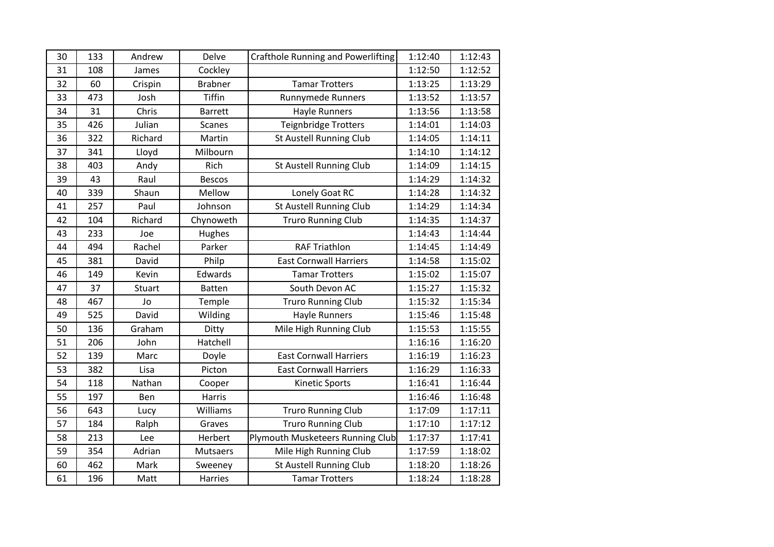| 30 | 133 | Andrew        | Delve          | Crafthole Running and Powerlifting | 1:12:40 | 1:12:43 |
|----|-----|---------------|----------------|------------------------------------|---------|---------|
| 31 | 108 | James         | Cockley        |                                    | 1:12:50 | 1:12:52 |
| 32 | 60  | Crispin       | <b>Brabner</b> | <b>Tamar Trotters</b>              | 1:13:25 | 1:13:29 |
| 33 | 473 | Josh          | Tiffin         | <b>Runnymede Runners</b>           | 1:13:52 | 1:13:57 |
| 34 | 31  | Chris         | <b>Barrett</b> | <b>Hayle Runners</b>               | 1:13:56 | 1:13:58 |
| 35 | 426 | Julian        | <b>Scanes</b>  | Teignbridge Trotters               | 1:14:01 | 1:14:03 |
| 36 | 322 | Richard       | Martin         | St Austell Running Club            | 1:14:05 | 1:14:11 |
| 37 | 341 | Lloyd         | Milbourn       |                                    | 1:14:10 | 1:14:12 |
| 38 | 403 | Andy          | Rich           | St Austell Running Club            | 1:14:09 | 1:14:15 |
| 39 | 43  | Raul          | <b>Bescos</b>  |                                    | 1:14:29 | 1:14:32 |
| 40 | 339 | Shaun         | Mellow         | Lonely Goat RC                     | 1:14:28 | 1:14:32 |
| 41 | 257 | Paul          | Johnson        | <b>St Austell Running Club</b>     | 1:14:29 | 1:14:34 |
| 42 | 104 | Richard       | Chynoweth      | <b>Truro Running Club</b>          | 1:14:35 | 1:14:37 |
| 43 | 233 | Joe           | Hughes         |                                    | 1:14:43 | 1:14:44 |
| 44 | 494 | Rachel        | Parker         | <b>RAF Triathlon</b>               | 1:14:45 | 1:14:49 |
| 45 | 381 | David         | Philp          | <b>East Cornwall Harriers</b>      | 1:14:58 | 1:15:02 |
| 46 | 149 | Kevin         | Edwards        | <b>Tamar Trotters</b>              | 1:15:02 | 1:15:07 |
| 47 | 37  | <b>Stuart</b> | <b>Batten</b>  | South Devon AC                     | 1:15:27 | 1:15:32 |
| 48 | 467 | Jo            | Temple         | <b>Truro Running Club</b>          | 1:15:32 | 1:15:34 |
| 49 | 525 | David         | Wilding        | <b>Hayle Runners</b>               | 1:15:46 | 1:15:48 |
| 50 | 136 | Graham        | Ditty          | Mile High Running Club             | 1:15:53 | 1:15:55 |
| 51 | 206 | John          | Hatchell       |                                    | 1:16:16 | 1:16:20 |
| 52 | 139 | Marc          | Doyle          | <b>East Cornwall Harriers</b>      | 1:16:19 | 1:16:23 |
| 53 | 382 | Lisa          | Picton         | <b>East Cornwall Harriers</b>      | 1:16:29 | 1:16:33 |
| 54 | 118 | Nathan        | Cooper         | Kinetic Sports                     | 1:16:41 | 1:16:44 |
| 55 | 197 | Ben           | <b>Harris</b>  |                                    | 1:16:46 | 1:16:48 |
| 56 | 643 | Lucy          | Williams       | <b>Truro Running Club</b>          | 1:17:09 | 1:17:11 |
| 57 | 184 | Ralph         | Graves         | <b>Truro Running Club</b>          | 1:17:10 | 1:17:12 |
| 58 | 213 | Lee           | Herbert        | Plymouth Musketeers Running Club   | 1:17:37 | 1:17:41 |
| 59 | 354 | Adrian        | Mutsaers       | Mile High Running Club             | 1:17:59 | 1:18:02 |
| 60 | 462 | Mark          | Sweeney        | St Austell Running Club            | 1:18:20 | 1:18:26 |
| 61 | 196 | Matt          | Harries        | <b>Tamar Trotters</b>              | 1:18:24 | 1:18:28 |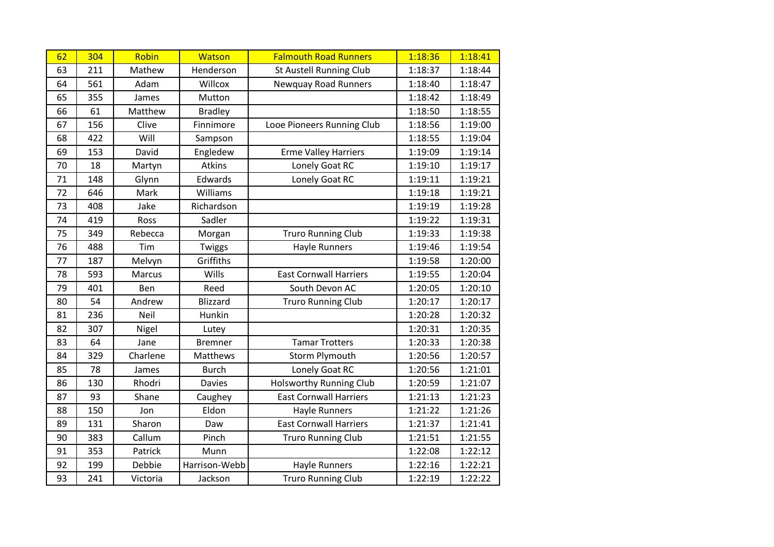| 62 | 304 | Robin    | <b>Watson</b>   | <b>Falmouth Road Runners</b>   | 1:18:36 | 1:18:41 |
|----|-----|----------|-----------------|--------------------------------|---------|---------|
| 63 | 211 | Mathew   | Henderson       | <b>St Austell Running Club</b> | 1:18:37 | 1:18:44 |
| 64 | 561 | Adam     | Willcox         | <b>Newquay Road Runners</b>    | 1:18:40 | 1:18:47 |
| 65 | 355 | James    | Mutton          |                                | 1:18:42 | 1:18:49 |
| 66 | 61  | Matthew  | <b>Bradley</b>  |                                | 1:18:50 | 1:18:55 |
| 67 | 156 | Clive    | Finnimore       | Looe Pioneers Running Club     | 1:18:56 | 1:19:00 |
| 68 | 422 | Will     | Sampson         |                                | 1:18:55 | 1:19:04 |
| 69 | 153 | David    | Engledew        | <b>Erme Valley Harriers</b>    | 1:19:09 | 1:19:14 |
| 70 | 18  | Martyn   | Atkins          | Lonely Goat RC                 | 1:19:10 | 1:19:17 |
| 71 | 148 | Glynn    | Edwards         | Lonely Goat RC                 | 1:19:11 | 1:19:21 |
| 72 | 646 | Mark     | Williams        |                                | 1:19:18 | 1:19:21 |
| 73 | 408 | Jake     | Richardson      |                                | 1:19:19 | 1:19:28 |
| 74 | 419 | Ross     | Sadler          |                                | 1:19:22 | 1:19:31 |
| 75 | 349 | Rebecca  | Morgan          | <b>Truro Running Club</b>      | 1:19:33 | 1:19:38 |
| 76 | 488 | Tim      | Twiggs          | <b>Hayle Runners</b>           | 1:19:46 | 1:19:54 |
| 77 | 187 | Melvyn   | Griffiths       |                                | 1:19:58 | 1:20:00 |
| 78 | 593 | Marcus   | Wills           | <b>East Cornwall Harriers</b>  | 1:19:55 | 1:20:04 |
| 79 | 401 | Ben      | Reed            | South Devon AC                 | 1:20:05 | 1:20:10 |
| 80 | 54  | Andrew   | <b>Blizzard</b> | <b>Truro Running Club</b>      | 1:20:17 | 1:20:17 |
| 81 | 236 | Neil     | Hunkin          |                                | 1:20:28 | 1:20:32 |
| 82 | 307 | Nigel    | Lutey           |                                | 1:20:31 | 1:20:35 |
| 83 | 64  | Jane     | <b>Bremner</b>  | <b>Tamar Trotters</b>          | 1:20:33 | 1:20:38 |
| 84 | 329 | Charlene | <b>Matthews</b> | <b>Storm Plymouth</b>          | 1:20:56 | 1:20:57 |
| 85 | 78  | James    | <b>Burch</b>    | Lonely Goat RC                 | 1:20:56 | 1:21:01 |
| 86 | 130 | Rhodri   | <b>Davies</b>   | <b>Holsworthy Running Club</b> | 1:20:59 | 1:21:07 |
| 87 | 93  | Shane    | Caughey         | <b>East Cornwall Harriers</b>  | 1:21:13 | 1:21:23 |
| 88 | 150 | Jon      | Eldon           | <b>Hayle Runners</b>           | 1:21:22 | 1:21:26 |
| 89 | 131 | Sharon   | Daw             | <b>East Cornwall Harriers</b>  | 1:21:37 | 1:21:41 |
| 90 | 383 | Callum   | Pinch           | <b>Truro Running Club</b>      | 1:21:51 | 1:21:55 |
| 91 | 353 | Patrick  | Munn            |                                | 1:22:08 | 1:22:12 |
| 92 | 199 | Debbie   | Harrison-Webb   | <b>Hayle Runners</b>           | 1:22:16 | 1:22:21 |
| 93 | 241 | Victoria | Jackson         | <b>Truro Running Club</b>      | 1:22:19 | 1:22:22 |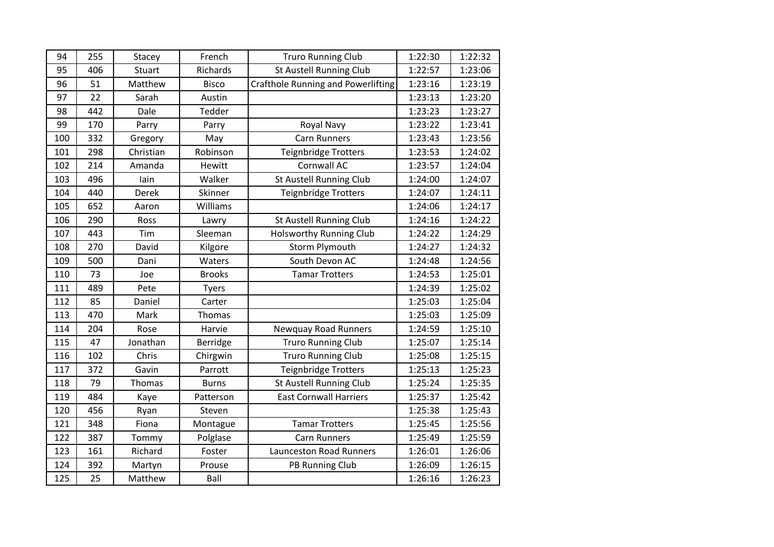| 94  | 255 | Stacey        | French        | <b>Truro Running Club</b>                 | 1:22:30 | 1:22:32 |
|-----|-----|---------------|---------------|-------------------------------------------|---------|---------|
| 95  | 406 | Stuart        | Richards      | St Austell Running Club                   | 1:22:57 | 1:23:06 |
| 96  | 51  | Matthew       | <b>Bisco</b>  | <b>Crafthole Running and Powerlifting</b> | 1:23:16 | 1:23:19 |
| 97  | 22  | Sarah         | Austin        |                                           | 1:23:13 | 1:23:20 |
| 98  | 442 | Dale          | Tedder        |                                           | 1:23:23 | 1:23:27 |
| 99  | 170 | Parry         | Parry         | Royal Navy                                | 1:23:22 | 1:23:41 |
| 100 | 332 | Gregory       | May           | <b>Carn Runners</b>                       | 1:23:43 | 1:23:56 |
| 101 | 298 | Christian     | Robinson      | Teignbridge Trotters                      | 1:23:53 | 1:24:02 |
| 102 | 214 | Amanda        | Hewitt        | Cornwall AC                               | 1:23:57 | 1:24:04 |
| 103 | 496 | lain          | Walker        | St Austell Running Club                   | 1:24:00 | 1:24:07 |
| 104 | 440 | Derek         | Skinner       | <b>Teignbridge Trotters</b>               | 1:24:07 | 1:24:11 |
| 105 | 652 | Aaron         | Williams      |                                           | 1:24:06 | 1:24:17 |
| 106 | 290 | Ross          | Lawry         | St Austell Running Club                   | 1:24:16 | 1:24:22 |
| 107 | 443 | Tim           | Sleeman       | <b>Holsworthy Running Club</b>            | 1:24:22 | 1:24:29 |
| 108 | 270 | David         | Kilgore       | <b>Storm Plymouth</b>                     | 1:24:27 | 1:24:32 |
| 109 | 500 | Dani          | Waters        | South Devon AC                            | 1:24:48 | 1:24:56 |
| 110 | 73  | Joe           | <b>Brooks</b> | <b>Tamar Trotters</b>                     | 1:24:53 | 1:25:01 |
| 111 | 489 | Pete          | <b>Tyers</b>  |                                           | 1:24:39 | 1:25:02 |
| 112 | 85  | Daniel        | Carter        |                                           | 1:25:03 | 1:25:04 |
| 113 | 470 | Mark          | Thomas        |                                           | 1:25:03 | 1:25:09 |
| 114 | 204 | Rose          | Harvie        | <b>Newquay Road Runners</b>               | 1:24:59 | 1:25:10 |
| 115 | 47  | Jonathan      | Berridge      | <b>Truro Running Club</b>                 | 1:25:07 | 1:25:14 |
| 116 | 102 | Chris         | Chirgwin      | <b>Truro Running Club</b>                 | 1:25:08 | 1:25:15 |
| 117 | 372 | Gavin         | Parrott       | Teignbridge Trotters                      | 1:25:13 | 1:25:23 |
| 118 | 79  | <b>Thomas</b> | <b>Burns</b>  | St Austell Running Club                   | 1:25:24 | 1:25:35 |
| 119 | 484 | Kaye          | Patterson     | <b>East Cornwall Harriers</b>             | 1:25:37 | 1:25:42 |
| 120 | 456 | Ryan          | Steven        |                                           | 1:25:38 | 1:25:43 |
| 121 | 348 | Fiona         | Montague      | <b>Tamar Trotters</b>                     | 1:25:45 | 1:25:56 |
| 122 | 387 | Tommy         | Polglase      | <b>Carn Runners</b>                       | 1:25:49 | 1:25:59 |
| 123 | 161 | Richard       | Foster        | <b>Launceston Road Runners</b>            | 1:26:01 | 1:26:06 |
| 124 | 392 | Martyn        | Prouse        | PB Running Club                           | 1:26:09 | 1:26:15 |
| 125 | 25  | Matthew       | Ball          |                                           | 1:26:16 | 1:26:23 |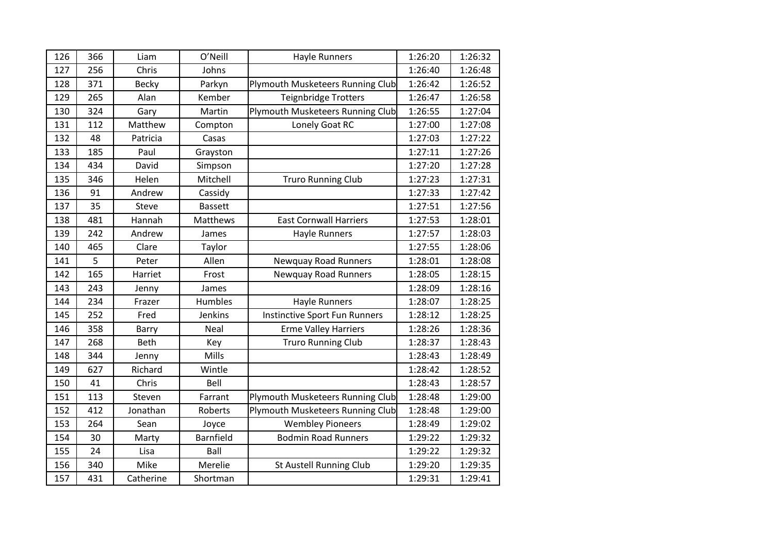| 126 | 366 | Liam         | O'Neill        | Hayle Runners                        | 1:26:20 | 1:26:32 |
|-----|-----|--------------|----------------|--------------------------------------|---------|---------|
| 127 | 256 | Chris        | Johns          |                                      | 1:26:40 | 1:26:48 |
| 128 | 371 | <b>Becky</b> | Parkyn         | Plymouth Musketeers Running Club     | 1:26:42 | 1:26:52 |
| 129 | 265 | Alan         | Kember         | Teignbridge Trotters                 | 1:26:47 | 1:26:58 |
| 130 | 324 | Gary         | Martin         | Plymouth Musketeers Running Club     | 1:26:55 | 1:27:04 |
| 131 | 112 | Matthew      | Compton        | Lonely Goat RC                       | 1:27:00 | 1:27:08 |
| 132 | 48  | Patricia     | Casas          |                                      | 1:27:03 | 1:27:22 |
| 133 | 185 | Paul         | Grayston       |                                      | 1:27:11 | 1:27:26 |
| 134 | 434 | David        | Simpson        |                                      | 1:27:20 | 1:27:28 |
| 135 | 346 | Helen        | Mitchell       | <b>Truro Running Club</b>            | 1:27:23 | 1:27:31 |
| 136 | 91  | Andrew       | Cassidy        |                                      | 1:27:33 | 1:27:42 |
| 137 | 35  | Steve        | <b>Bassett</b> |                                      | 1:27:51 | 1:27:56 |
| 138 | 481 | Hannah       | Matthews       | <b>East Cornwall Harriers</b>        | 1:27:53 | 1:28:01 |
| 139 | 242 | Andrew       | James          | <b>Hayle Runners</b>                 | 1:27:57 | 1:28:03 |
| 140 | 465 | Clare        | Taylor         |                                      | 1:27:55 | 1:28:06 |
| 141 | 5   | Peter        | Allen          | <b>Newquay Road Runners</b>          | 1:28:01 | 1:28:08 |
| 142 | 165 | Harriet      | Frost          | <b>Newquay Road Runners</b>          | 1:28:05 | 1:28:15 |
| 143 | 243 | Jenny        | James          |                                      | 1:28:09 | 1:28:16 |
| 144 | 234 | Frazer       | Humbles        | Hayle Runners                        | 1:28:07 | 1:28:25 |
| 145 | 252 | Fred         | Jenkins        | <b>Instinctive Sport Fun Runners</b> | 1:28:12 | 1:28:25 |
| 146 | 358 | Barry        | Neal           | <b>Erme Valley Harriers</b>          | 1:28:26 | 1:28:36 |
| 147 | 268 | Beth         | Key            | <b>Truro Running Club</b>            | 1:28:37 | 1:28:43 |
| 148 | 344 | Jenny        | Mills          |                                      | 1:28:43 | 1:28:49 |
| 149 | 627 | Richard      | Wintle         |                                      | 1:28:42 | 1:28:52 |
| 150 | 41  | Chris        | Bell           |                                      | 1:28:43 | 1:28:57 |
| 151 | 113 | Steven       | Farrant        | Plymouth Musketeers Running Club     | 1:28:48 | 1:29:00 |
| 152 | 412 | Jonathan     | Roberts        | Plymouth Musketeers Running Club     | 1:28:48 | 1:29:00 |
| 153 | 264 | Sean         | Joyce          | <b>Wembley Pioneers</b>              | 1:28:49 | 1:29:02 |
| 154 | 30  | Marty        | Barnfield      | <b>Bodmin Road Runners</b>           | 1:29:22 | 1:29:32 |
| 155 | 24  | Lisa         | Ball           |                                      | 1:29:22 | 1:29:32 |
| 156 | 340 | Mike         | Merelie        | St Austell Running Club              | 1:29:20 | 1:29:35 |
| 157 | 431 | Catherine    | Shortman       |                                      | 1:29:31 | 1:29:41 |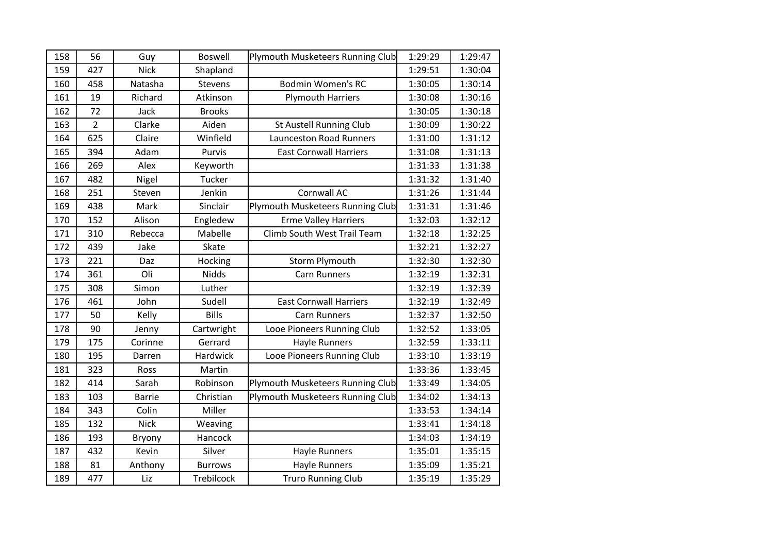| 158 | 56             | Guy           | <b>Boswell</b> | Plymouth Musketeers Running Club | 1:29:29 | 1:29:47 |
|-----|----------------|---------------|----------------|----------------------------------|---------|---------|
| 159 | 427            | <b>Nick</b>   | Shapland       |                                  | 1:29:51 | 1:30:04 |
| 160 | 458            | Natasha       | Stevens        | <b>Bodmin Women's RC</b>         | 1:30:05 | 1:30:14 |
| 161 | 19             | Richard       | Atkinson       | <b>Plymouth Harriers</b>         | 1:30:08 | 1:30:16 |
| 162 | 72             | Jack          | <b>Brooks</b>  |                                  | 1:30:05 | 1:30:18 |
| 163 | $\overline{2}$ | Clarke        | Aiden          | St Austell Running Club          | 1:30:09 | 1:30:22 |
| 164 | 625            | Claire        | Winfield       | <b>Launceston Road Runners</b>   | 1:31:00 | 1:31:12 |
| 165 | 394            | Adam          | Purvis         | <b>East Cornwall Harriers</b>    | 1:31:08 | 1:31:13 |
| 166 | 269            | Alex          | Keyworth       |                                  | 1:31:33 | 1:31:38 |
| 167 | 482            | Nigel         | <b>Tucker</b>  |                                  | 1:31:32 | 1:31:40 |
| 168 | 251            | Steven        | Jenkin         | Cornwall AC                      | 1:31:26 | 1:31:44 |
| 169 | 438            | Mark          | Sinclair       | Plymouth Musketeers Running Club | 1:31:31 | 1:31:46 |
| 170 | 152            | Alison        | Engledew       | <b>Erme Valley Harriers</b>      | 1:32:03 | 1:32:12 |
| 171 | 310            | Rebecca       | Mabelle        | Climb South West Trail Team      | 1:32:18 | 1:32:25 |
| 172 | 439            | Jake          | Skate          |                                  | 1:32:21 | 1:32:27 |
| 173 | 221            | Daz           | Hocking        | Storm Plymouth                   | 1:32:30 | 1:32:30 |
| 174 | 361            | Oli           | Nidds          | <b>Carn Runners</b>              | 1:32:19 | 1:32:31 |
| 175 | 308            | Simon         | Luther         |                                  | 1:32:19 | 1:32:39 |
| 176 | 461            | John          | Sudell         | <b>East Cornwall Harriers</b>    | 1:32:19 | 1:32:49 |
| 177 | 50             | Kelly         | <b>Bills</b>   | <b>Carn Runners</b>              | 1:32:37 | 1:32:50 |
| 178 | 90             | Jenny         | Cartwright     | Looe Pioneers Running Club       | 1:32:52 | 1:33:05 |
| 179 | 175            | Corinne       | Gerrard        | <b>Hayle Runners</b>             | 1:32:59 | 1:33:11 |
| 180 | 195            | Darren        | Hardwick       | Looe Pioneers Running Club       | 1:33:10 | 1:33:19 |
| 181 | 323            | Ross          | Martin         |                                  | 1:33:36 | 1:33:45 |
| 182 | 414            | Sarah         | Robinson       | Plymouth Musketeers Running Club | 1:33:49 | 1:34:05 |
| 183 | 103            | <b>Barrie</b> | Christian      | Plymouth Musketeers Running Club | 1:34:02 | 1:34:13 |
| 184 | 343            | Colin         | Miller         |                                  | 1:33:53 | 1:34:14 |
| 185 | 132            | <b>Nick</b>   | Weaving        |                                  | 1:33:41 | 1:34:18 |
| 186 | 193            | Bryony        | Hancock        |                                  | 1:34:03 | 1:34:19 |
| 187 | 432            | Kevin         | Silver         | <b>Hayle Runners</b>             | 1:35:01 | 1:35:15 |
| 188 | 81             | Anthony       | <b>Burrows</b> | <b>Hayle Runners</b>             | 1:35:09 | 1:35:21 |
|     |                |               |                | <b>Truro Running Club</b>        | 1:35:19 | 1:35:29 |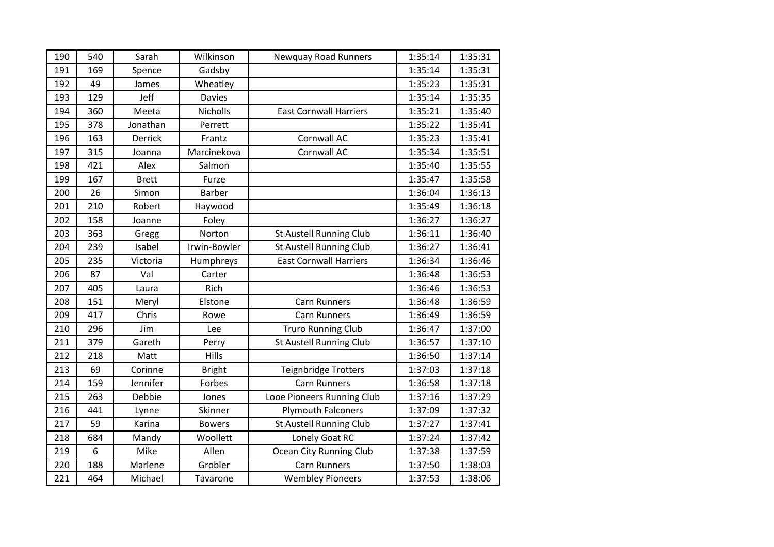| 190 | 540 | Sarah        | Wilkinson     | Newquay Road Runners           | 1:35:14 | 1:35:31 |
|-----|-----|--------------|---------------|--------------------------------|---------|---------|
| 191 | 169 | Spence       | Gadsby        |                                | 1:35:14 | 1:35:31 |
| 192 | 49  | James        | Wheatley      |                                | 1:35:23 | 1:35:31 |
| 193 | 129 | Jeff         | <b>Davies</b> |                                | 1:35:14 | 1:35:35 |
| 194 | 360 | Meeta        | Nicholls      | <b>East Cornwall Harriers</b>  | 1:35:21 | 1:35:40 |
| 195 | 378 | Jonathan     | Perrett       |                                | 1:35:22 | 1:35:41 |
| 196 | 163 | Derrick      | Frantz        | Cornwall AC                    | 1:35:23 | 1:35:41 |
| 197 | 315 | Joanna       | Marcinekova   | Cornwall AC                    | 1:35:34 | 1:35:51 |
| 198 | 421 | Alex         | Salmon        |                                | 1:35:40 | 1:35:55 |
| 199 | 167 | <b>Brett</b> | Furze         |                                | 1:35:47 | 1:35:58 |
| 200 | 26  | Simon        | <b>Barber</b> |                                | 1:36:04 | 1:36:13 |
| 201 | 210 | Robert       | Haywood       |                                | 1:35:49 | 1:36:18 |
| 202 | 158 | Joanne       | Foley         |                                | 1:36:27 | 1:36:27 |
| 203 | 363 | Gregg        | Norton        | St Austell Running Club        | 1:36:11 | 1:36:40 |
| 204 | 239 | Isabel       | Irwin-Bowler  | <b>St Austell Running Club</b> | 1:36:27 | 1:36:41 |
| 205 | 235 | Victoria     | Humphreys     | <b>East Cornwall Harriers</b>  | 1:36:34 | 1:36:46 |
| 206 | 87  | Val          | Carter        |                                | 1:36:48 | 1:36:53 |
| 207 | 405 | Laura        | Rich          |                                | 1:36:46 | 1:36:53 |
| 208 | 151 | Meryl        | Elstone       | <b>Carn Runners</b>            | 1:36:48 | 1:36:59 |
| 209 | 417 | Chris        | Rowe          | <b>Carn Runners</b>            | 1:36:49 | 1:36:59 |
| 210 | 296 | Jim          | Lee           | <b>Truro Running Club</b>      | 1:36:47 | 1:37:00 |
| 211 | 379 | Gareth       | Perry         | St Austell Running Club        | 1:36:57 | 1:37:10 |
| 212 | 218 | Matt         | Hills         |                                | 1:36:50 | 1:37:14 |
| 213 | 69  | Corinne      | <b>Bright</b> | <b>Teignbridge Trotters</b>    | 1:37:03 | 1:37:18 |
| 214 | 159 | Jennifer     | Forbes        | <b>Carn Runners</b>            | 1:36:58 | 1:37:18 |
| 215 | 263 | Debbie       | Jones         | Looe Pioneers Running Club     | 1:37:16 | 1:37:29 |
| 216 | 441 | Lynne        | Skinner       | <b>Plymouth Falconers</b>      | 1:37:09 | 1:37:32 |
| 217 | 59  | Karina       | <b>Bowers</b> | St Austell Running Club        | 1:37:27 | 1:37:41 |
| 218 | 684 | Mandy        | Woollett      | Lonely Goat RC                 | 1:37:24 | 1:37:42 |
| 219 | 6   | Mike         | Allen         | Ocean City Running Club        | 1:37:38 | 1:37:59 |
| 220 | 188 | Marlene      | Grobler       | <b>Carn Runners</b>            | 1:37:50 | 1:38:03 |
| 221 | 464 | Michael      | Tavarone      | <b>Wembley Pioneers</b>        | 1:37:53 | 1:38:06 |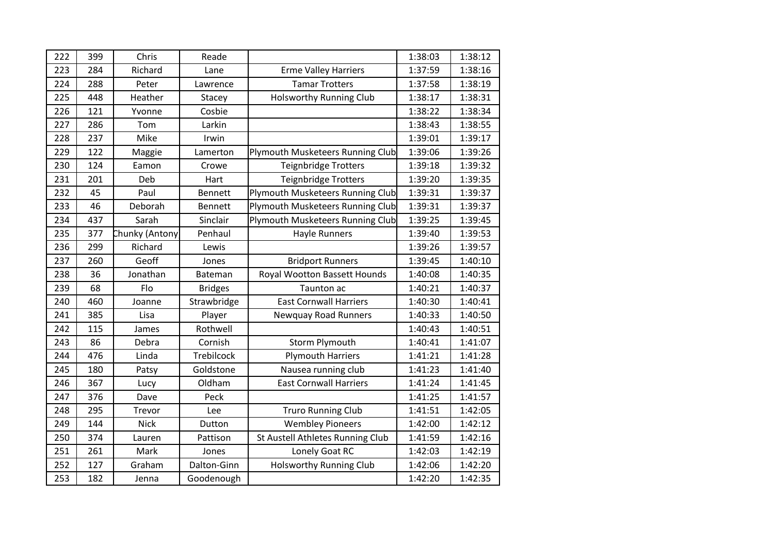| 222 | 399 | Chris          | Reade          |                                  | 1:38:03 | 1:38:12 |
|-----|-----|----------------|----------------|----------------------------------|---------|---------|
| 223 | 284 | Richard        | Lane           | <b>Erme Valley Harriers</b>      | 1:37:59 | 1:38:16 |
| 224 | 288 | Peter          | Lawrence       | <b>Tamar Trotters</b>            | 1:37:58 | 1:38:19 |
| 225 | 448 | Heather        | Stacey         | <b>Holsworthy Running Club</b>   | 1:38:17 | 1:38:31 |
| 226 | 121 | Yvonne         | Cosbie         |                                  | 1:38:22 | 1:38:34 |
| 227 | 286 | Tom            | Larkin         |                                  | 1:38:43 | 1:38:55 |
| 228 | 237 | Mike           | Irwin          |                                  | 1:39:01 | 1:39:17 |
| 229 | 122 | Maggie         | Lamerton       | Plymouth Musketeers Running Club | 1:39:06 | 1:39:26 |
| 230 | 124 | Eamon          | Crowe          | Teignbridge Trotters             | 1:39:18 | 1:39:32 |
| 231 | 201 | Deb            | Hart           | Teignbridge Trotters             | 1:39:20 | 1:39:35 |
| 232 | 45  | Paul           | Bennett        | Plymouth Musketeers Running Club | 1:39:31 | 1:39:37 |
| 233 | 46  | Deborah        | <b>Bennett</b> | Plymouth Musketeers Running Club | 1:39:31 | 1:39:37 |
| 234 | 437 | Sarah          | Sinclair       | Plymouth Musketeers Running Club | 1:39:25 | 1:39:45 |
| 235 | 377 | Chunky (Antony | Penhaul        | <b>Hayle Runners</b>             | 1:39:40 | 1:39:53 |
| 236 | 299 | Richard        | Lewis          |                                  | 1:39:26 | 1:39:57 |
| 237 | 260 | Geoff          | Jones          | <b>Bridport Runners</b>          | 1:39:45 | 1:40:10 |
| 238 | 36  | Jonathan       | Bateman        | Royal Wootton Bassett Hounds     | 1:40:08 | 1:40:35 |
| 239 | 68  | Flo            | <b>Bridges</b> | Taunton ac                       | 1:40:21 | 1:40:37 |
| 240 | 460 | Joanne         | Strawbridge    | <b>East Cornwall Harriers</b>    | 1:40:30 | 1:40:41 |
| 241 | 385 | Lisa           | Player         | <b>Newquay Road Runners</b>      | 1:40:33 | 1:40:50 |
| 242 | 115 | James          | Rothwell       |                                  | 1:40:43 | 1:40:51 |
| 243 | 86  | Debra          | Cornish        | Storm Plymouth                   | 1:40:41 | 1:41:07 |
| 244 | 476 | Linda          | Trebilcock     | <b>Plymouth Harriers</b>         | 1:41:21 | 1:41:28 |
| 245 | 180 | Patsy          | Goldstone      | Nausea running club              | 1:41:23 | 1:41:40 |
| 246 | 367 | Lucy           | Oldham         | <b>East Cornwall Harriers</b>    | 1:41:24 | 1:41:45 |
| 247 | 376 | Dave           | Peck           |                                  | 1:41:25 | 1:41:57 |
| 248 | 295 | Trevor         | Lee            | <b>Truro Running Club</b>        | 1:41:51 | 1:42:05 |
| 249 | 144 | <b>Nick</b>    | Dutton         | <b>Wembley Pioneers</b>          | 1:42:00 | 1:42:12 |
| 250 | 374 | Lauren         | Pattison       | St Austell Athletes Running Club | 1:41:59 | 1:42:16 |
| 251 | 261 | Mark           | Jones          | Lonely Goat RC                   | 1:42:03 | 1:42:19 |
| 252 | 127 | Graham         | Dalton-Ginn    | <b>Holsworthy Running Club</b>   | 1:42:06 | 1:42:20 |
| 253 | 182 | Jenna          | Goodenough     |                                  | 1:42:20 | 1:42:35 |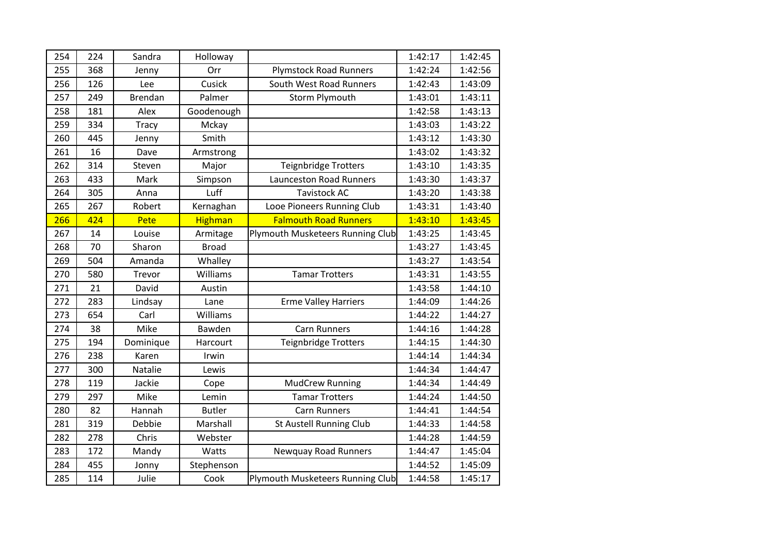| 254 |     |                |                |                                  |         |         |
|-----|-----|----------------|----------------|----------------------------------|---------|---------|
|     | 224 | Sandra         | Holloway       |                                  | 1:42:17 | 1:42:45 |
| 255 | 368 | Jenny          | Orr            | <b>Plymstock Road Runners</b>    | 1:42:24 | 1:42:56 |
| 256 | 126 | Lee            | Cusick         | South West Road Runners          | 1:42:43 | 1:43:09 |
| 257 | 249 | <b>Brendan</b> | Palmer         | <b>Storm Plymouth</b>            | 1:43:01 | 1:43:11 |
| 258 | 181 | Alex           | Goodenough     |                                  | 1:42:58 | 1:43:13 |
| 259 | 334 | <b>Tracy</b>   | Mckay          |                                  | 1:43:03 | 1:43:22 |
| 260 | 445 | Jenny          | Smith          |                                  | 1:43:12 | 1:43:30 |
| 261 | 16  | Dave           | Armstrong      |                                  | 1:43:02 | 1:43:32 |
| 262 | 314 | Steven         | Major          | Teignbridge Trotters             | 1:43:10 | 1:43:35 |
| 263 | 433 | Mark           | Simpson        | <b>Launceston Road Runners</b>   | 1:43:30 | 1:43:37 |
| 264 | 305 | Anna           | Luff           | <b>Tavistock AC</b>              | 1:43:20 | 1:43:38 |
| 265 | 267 | Robert         | Kernaghan      | Looe Pioneers Running Club       | 1:43:31 | 1:43:40 |
| 266 | 424 | Pete           | <b>Highman</b> | <b>Falmouth Road Runners</b>     | 1:43:10 | 1:43:45 |
| 267 | 14  | Louise         | Armitage       | Plymouth Musketeers Running Club | 1:43:25 | 1:43:45 |
| 268 | 70  | Sharon         | <b>Broad</b>   |                                  | 1:43:27 | 1:43:45 |
| 269 | 504 | Amanda         | Whalley        |                                  | 1:43:27 | 1:43:54 |
| 270 | 580 | Trevor         | Williams       | <b>Tamar Trotters</b>            | 1:43:31 | 1:43:55 |
| 271 | 21  | David          | Austin         |                                  | 1:43:58 | 1:44:10 |
| 272 | 283 | Lindsay        | Lane           | <b>Erme Valley Harriers</b>      | 1:44:09 | 1:44:26 |
| 273 | 654 | Carl           | Williams       |                                  | 1:44:22 | 1:44:27 |
| 274 | 38  | Mike           | Bawden         | <b>Carn Runners</b>              | 1:44:16 | 1:44:28 |
| 275 | 194 | Dominique      | Harcourt       | <b>Teignbridge Trotters</b>      | 1:44:15 | 1:44:30 |
| 276 | 238 | Karen          | Irwin          |                                  | 1:44:14 | 1:44:34 |
| 277 | 300 | Natalie        | Lewis          |                                  | 1:44:34 | 1:44:47 |
| 278 | 119 | Jackie         | Cope           | <b>MudCrew Running</b>           | 1:44:34 | 1:44:49 |
| 279 | 297 | Mike           | Lemin          | <b>Tamar Trotters</b>            | 1:44:24 | 1:44:50 |
| 280 | 82  | Hannah         | <b>Butler</b>  | <b>Carn Runners</b>              | 1:44:41 | 1:44:54 |
| 281 | 319 | Debbie         | Marshall       | St Austell Running Club          | 1:44:33 | 1:44:58 |
| 282 | 278 | Chris          | Webster        |                                  | 1:44:28 | 1:44:59 |
| 283 | 172 | Mandy          | Watts          | <b>Newquay Road Runners</b>      | 1:44:47 | 1:45:04 |
| 284 | 455 | Jonny          | Stephenson     |                                  | 1:44:52 | 1:45:09 |
| 285 | 114 | Julie          | Cook           | Plymouth Musketeers Running Club | 1:44:58 | 1:45:17 |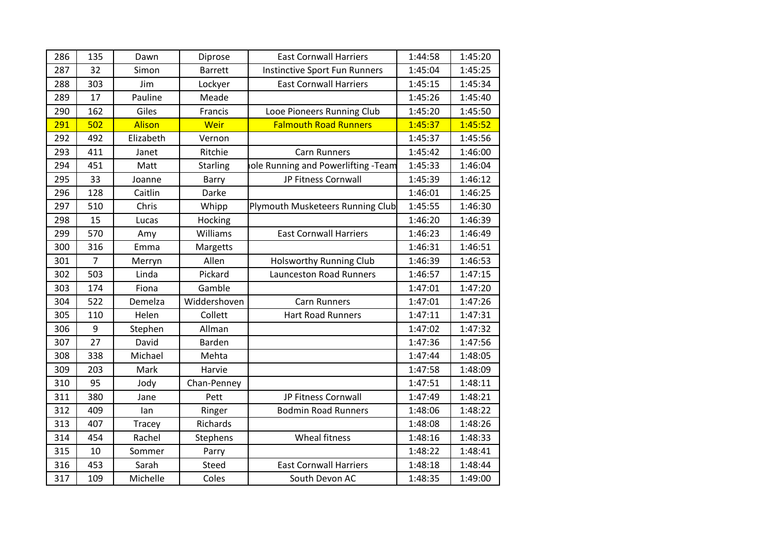| 286 | 135 | Dawn          | Diprose        | <b>East Cornwall Harriers</b>      | 1:44:58 | 1:45:20 |
|-----|-----|---------------|----------------|------------------------------------|---------|---------|
| 287 | 32  | Simon         | <b>Barrett</b> | Instinctive Sport Fun Runners      | 1:45:04 | 1:45:25 |
| 288 | 303 | Jim           | Lockyer        | <b>East Cornwall Harriers</b>      | 1:45:15 | 1:45:34 |
| 289 | 17  | Pauline       | Meade          |                                    | 1:45:26 | 1:45:40 |
| 290 | 162 | Giles         | Francis        | Looe Pioneers Running Club         | 1:45:20 | 1:45:50 |
| 291 | 502 | <b>Alison</b> | Weir           | <b>Falmouth Road Runners</b>       | 1:45:37 | 1:45:52 |
| 292 | 492 | Elizabeth     | Vernon         |                                    | 1:45:37 | 1:45:56 |
| 293 | 411 | Janet         | Ritchie        | <b>Carn Runners</b>                | 1:45:42 | 1:46:00 |
| 294 | 451 | Matt          | Starling       | ole Running and Powerlifting -Team | 1:45:33 | 1:46:04 |
| 295 | 33  | Joanne        | Barry          | JP Fitness Cornwall                | 1:45:39 | 1:46:12 |
| 296 | 128 | Caitlin       | Darke          |                                    | 1:46:01 | 1:46:25 |
| 297 | 510 | Chris         | Whipp          | Plymouth Musketeers Running Club   | 1:45:55 | 1:46:30 |
| 298 | 15  | Lucas         | Hocking        |                                    | 1:46:20 | 1:46:39 |
| 299 | 570 | Amy           | Williams       | <b>East Cornwall Harriers</b>      | 1:46:23 | 1:46:49 |
| 300 | 316 | Emma          | Margetts       |                                    | 1:46:31 | 1:46:51 |
| 301 | 7   | Merryn        | Allen          | <b>Holsworthy Running Club</b>     | 1:46:39 | 1:46:53 |
| 302 | 503 | Linda         | Pickard        | Launceston Road Runners            | 1:46:57 | 1:47:15 |
| 303 | 174 | Fiona         | Gamble         |                                    | 1:47:01 | 1:47:20 |
| 304 | 522 | Demelza       | Widdershoven   | <b>Carn Runners</b>                | 1:47:01 | 1:47:26 |
| 305 | 110 | Helen         | Collett        | <b>Hart Road Runners</b>           | 1:47:11 | 1:47:31 |
| 306 | 9   | Stephen       | Allman         |                                    | 1:47:02 | 1:47:32 |
| 307 | 27  | David         | Barden         |                                    | 1:47:36 | 1:47:56 |
| 308 | 338 | Michael       | Mehta          |                                    | 1:47:44 | 1:48:05 |
| 309 | 203 | Mark          | Harvie         |                                    | 1:47:58 | 1:48:09 |
| 310 | 95  | Jody          | Chan-Penney    |                                    | 1:47:51 | 1:48:11 |
| 311 | 380 | Jane          | Pett           | JP Fitness Cornwall                | 1:47:49 | 1:48:21 |
| 312 | 409 | lan           | Ringer         | <b>Bodmin Road Runners</b>         | 1:48:06 | 1:48:22 |
| 313 | 407 | Tracey        | Richards       |                                    | 1:48:08 | 1:48:26 |
| 314 | 454 | Rachel        | Stephens       | Wheal fitness                      | 1:48:16 | 1:48:33 |
| 315 | 10  | Sommer        | Parry          |                                    | 1:48:22 | 1:48:41 |
| 316 | 453 | Sarah         | Steed          | <b>East Cornwall Harriers</b>      | 1:48:18 | 1:48:44 |
| 317 | 109 | Michelle      | Coles          | South Devon AC                     | 1:48:35 | 1:49:00 |
|     |     |               |                |                                    |         |         |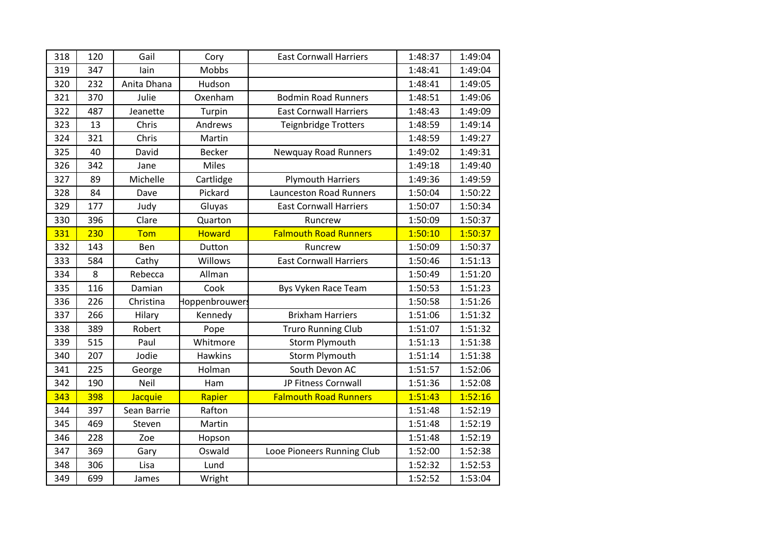| 318 | 120 | Gail        | Cory           | <b>East Cornwall Harriers</b> | 1:48:37 | 1:49:04 |
|-----|-----|-------------|----------------|-------------------------------|---------|---------|
| 319 | 347 | lain        | Mobbs          |                               | 1:48:41 | 1:49:04 |
| 320 | 232 | Anita Dhana | Hudson         |                               | 1:48:41 | 1:49:05 |
| 321 | 370 | Julie       | Oxenham        | <b>Bodmin Road Runners</b>    | 1:48:51 | 1:49:06 |
| 322 | 487 | Jeanette    | Turpin         | <b>East Cornwall Harriers</b> | 1:48:43 | 1:49:09 |
| 323 | 13  | Chris       | Andrews        | Teignbridge Trotters          | 1:48:59 | 1:49:14 |
| 324 | 321 | Chris       | Martin         |                               | 1:48:59 | 1:49:27 |
| 325 | 40  | David       | <b>Becker</b>  | <b>Newquay Road Runners</b>   | 1:49:02 | 1:49:31 |
| 326 | 342 | Jane        | Miles          |                               | 1:49:18 | 1:49:40 |
| 327 | 89  | Michelle    | Cartlidge      | <b>Plymouth Harriers</b>      | 1:49:36 | 1:49:59 |
| 328 | 84  | Dave        | Pickard        | Launceston Road Runners       | 1:50:04 | 1:50:22 |
| 329 | 177 | Judy        | Gluyas         | <b>East Cornwall Harriers</b> | 1:50:07 | 1:50:34 |
| 330 | 396 | Clare       | Quarton        | Runcrew                       | 1:50:09 | 1:50:37 |
| 331 | 230 | Tom         | <b>Howard</b>  | <b>Falmouth Road Runners</b>  | 1:50:10 | 1:50:37 |
| 332 | 143 | Ben         | Dutton         | Runcrew                       | 1:50:09 | 1:50:37 |
| 333 | 584 | Cathy       | Willows        | <b>East Cornwall Harriers</b> | 1:50:46 | 1:51:13 |
| 334 | 8   | Rebecca     | Allman         |                               | 1:50:49 | 1:51:20 |
| 335 | 116 | Damian      | Cook           | Bys Vyken Race Team           | 1:50:53 | 1:51:23 |
| 336 | 226 | Christina   | Hoppenbrouwer: |                               | 1:50:58 | 1:51:26 |
| 337 | 266 | Hilary      | Kennedy        | <b>Brixham Harriers</b>       | 1:51:06 | 1:51:32 |
| 338 | 389 | Robert      | Pope           | <b>Truro Running Club</b>     | 1:51:07 | 1:51:32 |
| 339 | 515 | Paul        | Whitmore       | Storm Plymouth                | 1:51:13 | 1:51:38 |
| 340 | 207 | Jodie       | <b>Hawkins</b> | <b>Storm Plymouth</b>         | 1:51:14 | 1:51:38 |
| 341 | 225 | George      | Holman         | South Devon AC                | 1:51:57 | 1:52:06 |
| 342 | 190 | Neil        | Ham            | JP Fitness Cornwall           | 1:51:36 | 1:52:08 |
| 343 | 398 | Jacquie     | Rapier         | <b>Falmouth Road Runners</b>  | 1:51:43 | 1:52:16 |
| 344 | 397 | Sean Barrie | Rafton         |                               | 1:51:48 | 1:52:19 |
| 345 | 469 | Steven      | Martin         |                               | 1:51:48 | 1:52:19 |
| 346 | 228 | Zoe         | Hopson         |                               | 1:51:48 | 1:52:19 |
| 347 | 369 | Gary        | Oswald         | Looe Pioneers Running Club    | 1:52:00 | 1:52:38 |
| 348 | 306 | Lisa        | Lund           |                               | 1:52:32 | 1:52:53 |
| 349 | 699 | James       | Wright         |                               | 1:52:52 | 1:53:04 |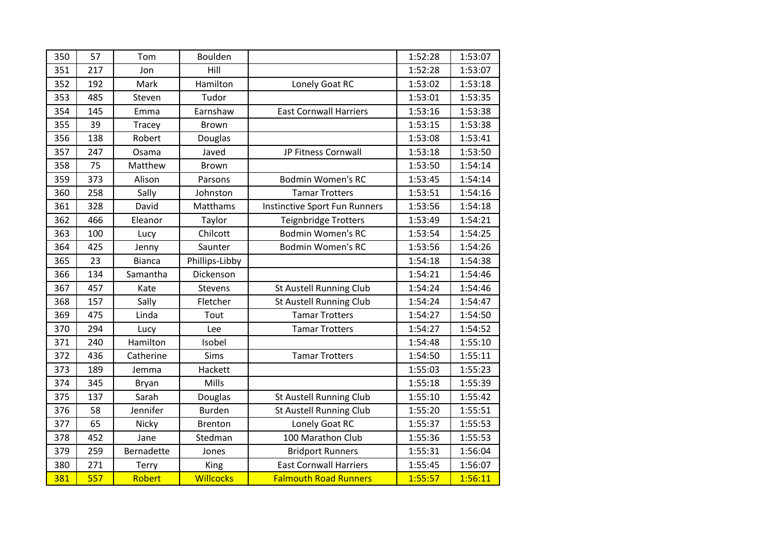| 350 | 57  | Tom           | Boulden          |                               | 1:52:28 | 1:53:07 |
|-----|-----|---------------|------------------|-------------------------------|---------|---------|
| 351 | 217 | Jon           | Hill             |                               | 1:52:28 | 1:53:07 |
| 352 | 192 | Mark          | Hamilton         | Lonely Goat RC                | 1:53:02 | 1:53:18 |
| 353 | 485 | Steven        | Tudor            |                               | 1:53:01 | 1:53:35 |
| 354 | 145 | Emma          | Earnshaw         | <b>East Cornwall Harriers</b> | 1:53:16 | 1:53:38 |
| 355 | 39  | Tracey        | <b>Brown</b>     |                               | 1:53:15 | 1:53:38 |
| 356 | 138 | Robert        | Douglas          |                               | 1:53:08 | 1:53:41 |
| 357 | 247 | Osama         | Javed            | JP Fitness Cornwall           | 1:53:18 | 1:53:50 |
| 358 | 75  | Matthew       | <b>Brown</b>     |                               | 1:53:50 | 1:54:14 |
| 359 | 373 | Alison        | Parsons          | <b>Bodmin Women's RC</b>      | 1:53:45 | 1:54:14 |
| 360 | 258 | Sally         | Johnston         | <b>Tamar Trotters</b>         | 1:53:51 | 1:54:16 |
| 361 | 328 | David         | Matthams         | Instinctive Sport Fun Runners | 1:53:56 | 1:54:18 |
| 362 | 466 | Eleanor       | Taylor           | Teignbridge Trotters          | 1:53:49 | 1:54:21 |
| 363 | 100 | Lucy          | Chilcott         | <b>Bodmin Women's RC</b>      | 1:53:54 | 1:54:25 |
| 364 | 425 | Jenny         | Saunter          | <b>Bodmin Women's RC</b>      | 1:53:56 | 1:54:26 |
| 365 | 23  | <b>Bianca</b> | Phillips-Libby   |                               | 1:54:18 | 1:54:38 |
| 366 | 134 | Samantha      | Dickenson        |                               | 1:54:21 | 1:54:46 |
| 367 | 457 | Kate          | Stevens          | St Austell Running Club       | 1:54:24 | 1:54:46 |
| 368 | 157 | Sally         | Fletcher         | St Austell Running Club       | 1:54:24 | 1:54:47 |
| 369 | 475 | Linda         | Tout             | <b>Tamar Trotters</b>         | 1:54:27 | 1:54:50 |
| 370 | 294 | Lucy          | Lee              | <b>Tamar Trotters</b>         | 1:54:27 | 1:54:52 |
| 371 | 240 | Hamilton      | Isobel           |                               | 1:54:48 | 1:55:10 |
| 372 | 436 | Catherine     | Sims             | <b>Tamar Trotters</b>         | 1:54:50 | 1:55:11 |
| 373 | 189 | Jemma         | Hackett          |                               | 1:55:03 | 1:55:23 |
| 374 | 345 | <b>Bryan</b>  | Mills            |                               | 1:55:18 | 1:55:39 |
| 375 | 137 | Sarah         | Douglas          | St Austell Running Club       | 1:55:10 | 1:55:42 |
| 376 | 58  | Jennifer      | Burden           | St Austell Running Club       | 1:55:20 | 1:55:51 |
| 377 | 65  | Nicky         | Brenton          | Lonely Goat RC                | 1:55:37 | 1:55:53 |
| 378 | 452 | Jane          | Stedman          | 100 Marathon Club             | 1:55:36 | 1:55:53 |
| 379 | 259 | Bernadette    | Jones            | <b>Bridport Runners</b>       | 1:55:31 | 1:56:04 |
| 380 | 271 | Terry         | King             | <b>East Cornwall Harriers</b> | 1:55:45 | 1:56:07 |
| 381 | 557 | Robert        | <b>Willcocks</b> | <b>Falmouth Road Runners</b>  | 1:55:57 | 1:56:11 |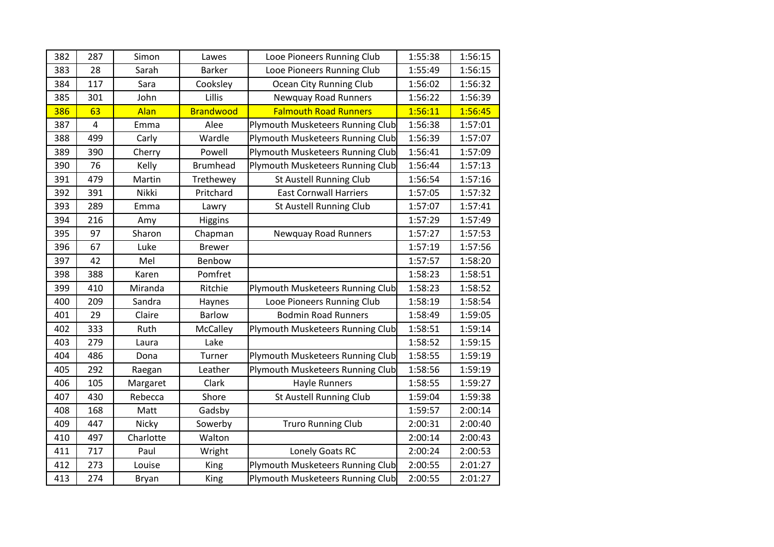| 382 | 287                     | Simon     | Lawes            | Looe Pioneers Running Club       | 1:55:38 | 1:56:15 |
|-----|-------------------------|-----------|------------------|----------------------------------|---------|---------|
| 383 | 28                      | Sarah     | <b>Barker</b>    | Looe Pioneers Running Club       | 1:55:49 | 1:56:15 |
| 384 | 117                     | Sara      | Cooksley         | Ocean City Running Club          | 1:56:02 | 1:56:32 |
| 385 | 301                     | John      | Lillis           | <b>Newquay Road Runners</b>      | 1:56:22 | 1:56:39 |
| 386 | 63                      | Alan      | <b>Brandwood</b> | <b>Falmouth Road Runners</b>     | 1:56:11 | 1:56:45 |
| 387 | $\overline{\mathbf{4}}$ | Emma      | Alee             | Plymouth Musketeers Running Club | 1:56:38 | 1:57:01 |
| 388 | 499                     | Carly     | Wardle           | Plymouth Musketeers Running Club | 1:56:39 | 1:57:07 |
| 389 | 390                     | Cherry    | Powell           | Plymouth Musketeers Running Club | 1:56:41 | 1:57:09 |
| 390 | 76                      | Kelly     | <b>Brumhead</b>  | Plymouth Musketeers Running Club | 1:56:44 | 1:57:13 |
| 391 | 479                     | Martin    | Trethewey        | St Austell Running Club          | 1:56:54 | 1:57:16 |
| 392 | 391                     | Nikki     | Pritchard        | <b>East Cornwall Harriers</b>    | 1:57:05 | 1:57:32 |
| 393 | 289                     | Emma      | Lawry            | <b>St Austell Running Club</b>   | 1:57:07 | 1:57:41 |
| 394 | 216                     | Amy       | Higgins          |                                  | 1:57:29 | 1:57:49 |
| 395 | 97                      | Sharon    | Chapman          | <b>Newquay Road Runners</b>      | 1:57:27 | 1:57:53 |
| 396 | 67                      | Luke      | <b>Brewer</b>    |                                  | 1:57:19 | 1:57:56 |
| 397 | 42                      | Mel       | Benbow           |                                  | 1:57:57 | 1:58:20 |
| 398 | 388                     | Karen     | Pomfret          |                                  | 1:58:23 | 1:58:51 |
| 399 | 410                     | Miranda   | Ritchie          | Plymouth Musketeers Running Club | 1:58:23 | 1:58:52 |
| 400 | 209                     | Sandra    | Haynes           | Looe Pioneers Running Club       | 1:58:19 | 1:58:54 |
| 401 | 29                      | Claire    | <b>Barlow</b>    | <b>Bodmin Road Runners</b>       | 1:58:49 | 1:59:05 |
| 402 | 333                     | Ruth      | McCalley         | Plymouth Musketeers Running Club | 1:58:51 | 1:59:14 |
| 403 | 279                     | Laura     | Lake             |                                  | 1:58:52 | 1:59:15 |
| 404 | 486                     | Dona      | Turner           | Plymouth Musketeers Running Club | 1:58:55 | 1:59:19 |
| 405 | 292                     | Raegan    | Leather          | Plymouth Musketeers Running Club | 1:58:56 | 1:59:19 |
| 406 | 105                     | Margaret  | Clark            | <b>Hayle Runners</b>             | 1:58:55 | 1:59:27 |
| 407 | 430                     | Rebecca   | Shore            | St Austell Running Club          | 1:59:04 | 1:59:38 |
| 408 | 168                     | Matt      | Gadsby           |                                  | 1:59:57 | 2:00:14 |
| 409 | 447                     | Nicky     | Sowerby          | <b>Truro Running Club</b>        | 2:00:31 | 2:00:40 |
| 410 | 497                     | Charlotte | Walton           |                                  | 2:00:14 | 2:00:43 |
| 411 | 717                     | Paul      | Wright           | Lonely Goats RC                  | 2:00:24 | 2:00:53 |
| 412 | 273                     | Louise    | King             | Plymouth Musketeers Running Club | 2:00:55 | 2:01:27 |
| 413 | 274                     | Bryan     | King             | Plymouth Musketeers Running Club | 2:00:55 | 2:01:27 |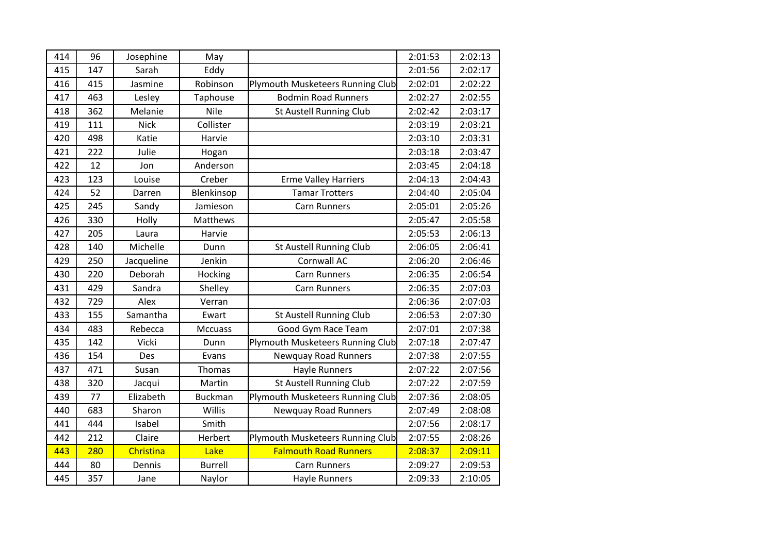| 414 | 96  | Josephine   | May             |                                  | 2:01:53 | 2:02:13 |
|-----|-----|-------------|-----------------|----------------------------------|---------|---------|
| 415 | 147 | Sarah       | Eddy            |                                  | 2:01:56 | 2:02:17 |
| 416 | 415 | Jasmine     | Robinson        | Plymouth Musketeers Running Club | 2:02:01 | 2:02:22 |
| 417 | 463 | Lesley      | Taphouse        | <b>Bodmin Road Runners</b>       | 2:02:27 | 2:02:55 |
| 418 | 362 | Melanie     | Nile            | <b>St Austell Running Club</b>   | 2:02:42 | 2:03:17 |
| 419 | 111 | <b>Nick</b> | Collister       |                                  | 2:03:19 | 2:03:21 |
| 420 | 498 | Katie       | Harvie          |                                  | 2:03:10 | 2:03:31 |
| 421 | 222 | Julie       | Hogan           |                                  | 2:03:18 | 2:03:47 |
| 422 | 12  | Jon         | Anderson        |                                  | 2:03:45 | 2:04:18 |
| 423 | 123 | Louise      | Creber          | <b>Erme Valley Harriers</b>      | 2:04:13 | 2:04:43 |
| 424 | 52  | Darren      | Blenkinsop      | <b>Tamar Trotters</b>            | 2:04:40 | 2:05:04 |
| 425 | 245 | Sandy       | Jamieson        | <b>Carn Runners</b>              | 2:05:01 | 2:05:26 |
| 426 | 330 | Holly       | <b>Matthews</b> |                                  | 2:05:47 | 2:05:58 |
| 427 | 205 | Laura       | Harvie          |                                  | 2:05:53 | 2:06:13 |
| 428 | 140 | Michelle    | Dunn            | St Austell Running Club          | 2:06:05 | 2:06:41 |
| 429 | 250 | Jacqueline  | Jenkin          | Cornwall AC                      | 2:06:20 | 2:06:46 |
| 430 | 220 | Deborah     | Hocking         | <b>Carn Runners</b>              | 2:06:35 | 2:06:54 |
| 431 | 429 | Sandra      | Shelley         | <b>Carn Runners</b>              | 2:06:35 | 2:07:03 |
| 432 | 729 | Alex        | Verran          |                                  | 2:06:36 | 2:07:03 |
| 433 | 155 | Samantha    | Ewart           | St Austell Running Club          | 2:06:53 | 2:07:30 |
| 434 | 483 | Rebecca     | Mccuass         | Good Gym Race Team               | 2:07:01 | 2:07:38 |
| 435 | 142 | Vicki       | Dunn            | Plymouth Musketeers Running Club | 2:07:18 | 2:07:47 |
| 436 | 154 | Des         | Evans           | <b>Newquay Road Runners</b>      | 2:07:38 | 2:07:55 |
| 437 | 471 | Susan       | Thomas          | <b>Hayle Runners</b>             | 2:07:22 | 2:07:56 |
| 438 | 320 | Jacqui      | Martin          | St Austell Running Club          | 2:07:22 | 2:07:59 |
| 439 | 77  | Elizabeth   | <b>Buckman</b>  | Plymouth Musketeers Running Club | 2:07:36 | 2:08:05 |
| 440 | 683 | Sharon      | Willis          | <b>Newquay Road Runners</b>      | 2:07:49 | 2:08:08 |
| 441 | 444 | Isabel      | Smith           |                                  | 2:07:56 | 2:08:17 |
| 442 | 212 | Claire      | Herbert         | Plymouth Musketeers Running Club | 2:07:55 | 2:08:26 |
| 443 | 280 | Christina   | Lake            | <b>Falmouth Road Runners</b>     | 2:08:37 | 2:09:11 |
| 444 | 80  | Dennis      | <b>Burrell</b>  | <b>Carn Runners</b>              | 2:09:27 | 2:09:53 |
| 445 | 357 | Jane        | Naylor          | <b>Hayle Runners</b>             | 2:09:33 | 2:10:05 |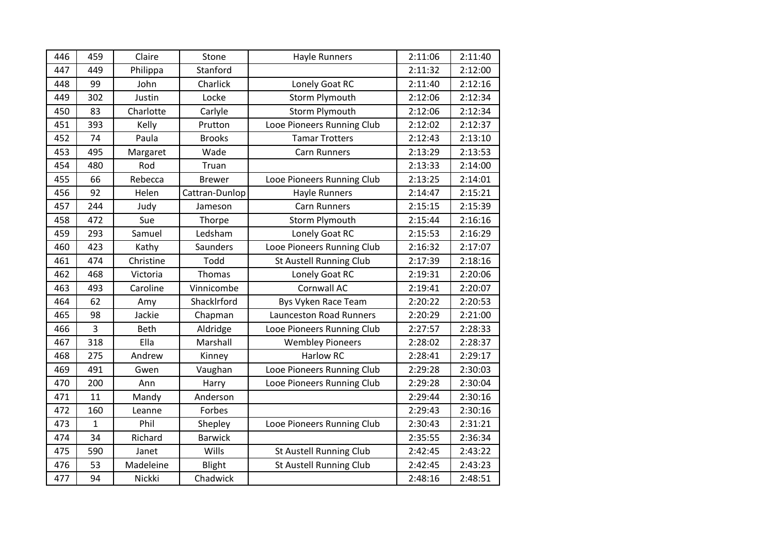| 446 | 459          | Claire      | Stone          | <b>Hayle Runners</b>           | 2:11:06 | 2:11:40 |
|-----|--------------|-------------|----------------|--------------------------------|---------|---------|
| 447 | 449          | Philippa    | Stanford       |                                | 2:11:32 | 2:12:00 |
| 448 | 99           | John        | Charlick       | Lonely Goat RC                 | 2:11:40 | 2:12:16 |
| 449 | 302          | Justin      | Locke          | <b>Storm Plymouth</b>          | 2:12:06 | 2:12:34 |
| 450 | 83           | Charlotte   | Carlyle        | <b>Storm Plymouth</b>          | 2:12:06 | 2:12:34 |
| 451 | 393          | Kelly       | Prutton        | Looe Pioneers Running Club     | 2:12:02 | 2:12:37 |
| 452 | 74           | Paula       | <b>Brooks</b>  | <b>Tamar Trotters</b>          | 2:12:43 | 2:13:10 |
| 453 | 495          | Margaret    | Wade           | <b>Carn Runners</b>            | 2:13:29 | 2:13:53 |
| 454 | 480          | Rod         | Truan          |                                | 2:13:33 | 2:14:00 |
| 455 | 66           | Rebecca     | <b>Brewer</b>  | Looe Pioneers Running Club     | 2:13:25 | 2:14:01 |
| 456 | 92           | Helen       | Cattran-Dunlop | <b>Hayle Runners</b>           | 2:14:47 | 2:15:21 |
| 457 | 244          | Judy        | Jameson        | <b>Carn Runners</b>            | 2:15:15 | 2:15:39 |
| 458 | 472          | Sue         | Thorpe         | <b>Storm Plymouth</b>          | 2:15:44 | 2:16:16 |
| 459 | 293          | Samuel      | Ledsham        | Lonely Goat RC                 | 2:15:53 | 2:16:29 |
| 460 | 423          | Kathy       | Saunders       | Looe Pioneers Running Club     | 2:16:32 | 2:17:07 |
| 461 | 474          | Christine   | Todd           | St Austell Running Club        | 2:17:39 | 2:18:16 |
| 462 | 468          | Victoria    | Thomas         | Lonely Goat RC                 | 2:19:31 | 2:20:06 |
| 463 | 493          | Caroline    | Vinnicombe     | Cornwall AC                    | 2:19:41 | 2:20:07 |
| 464 | 62           | Amy         | ShackIrford    | Bys Vyken Race Team            | 2:20:22 | 2:20:53 |
| 465 | 98           | Jackie      | Chapman        | <b>Launceston Road Runners</b> | 2:20:29 | 2:21:00 |
| 466 | 3            | <b>Beth</b> | Aldridge       | Looe Pioneers Running Club     | 2:27:57 | 2:28:33 |
| 467 | 318          | Ella        | Marshall       | <b>Wembley Pioneers</b>        | 2:28:02 | 2:28:37 |
| 468 | 275          | Andrew      | Kinney         | <b>Harlow RC</b>               | 2:28:41 | 2:29:17 |
| 469 | 491          | Gwen        | Vaughan        | Looe Pioneers Running Club     | 2:29:28 | 2:30:03 |
| 470 | 200          | Ann         | Harry          | Looe Pioneers Running Club     | 2:29:28 | 2:30:04 |
| 471 | 11           | Mandy       | Anderson       |                                | 2:29:44 | 2:30:16 |
| 472 | 160          | Leanne      | Forbes         |                                | 2:29:43 | 2:30:16 |
| 473 | $\mathbf{1}$ | Phil        | Shepley        | Looe Pioneers Running Club     | 2:30:43 | 2:31:21 |
| 474 | 34           | Richard     | <b>Barwick</b> |                                | 2:35:55 | 2:36:34 |
| 475 | 590          | Janet       | Wills          | St Austell Running Club        | 2:42:45 | 2:43:22 |
| 476 | 53           | Madeleine   | Blight         | St Austell Running Club        | 2:42:45 | 2:43:23 |
| 477 | 94           | Nickki      | Chadwick       |                                | 2:48:16 | 2:48:51 |